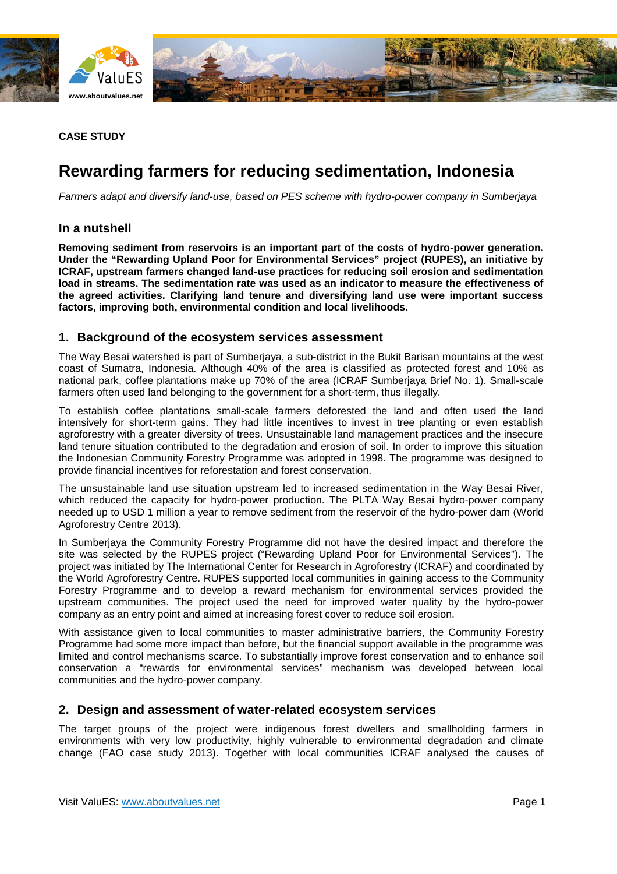



## **CASE STUDY**

# **Rewarding farmers for reducing sedimentation, Indonesia**

*Farmers adapt and diversify land-use, based on PES scheme with hydro-power company in Sumberjaya*

## **In a nutshell**

**Removing sediment from reservoirs is an important part of the costs of hydro-power generation. Under the "Rewarding Upland Poor for Environmental Services" project (RUPES), an initiative by ICRAF, upstream farmers changed land-use practices for reducing soil erosion and sedimentation load in streams. The sedimentation rate was used as an indicator to measure the effectiveness of the agreed activities. Clarifying land tenure and diversifying land use were important success factors, improving both, environmental condition and local livelihoods.**

#### **1. Background of the ecosystem services assessment**

The Way Besai watershed is part of Sumberjaya, a sub-district in the Bukit Barisan mountains at the west coast of Sumatra, Indonesia. Although 40% of the area is classified as protected forest and 10% as national park, coffee plantations make up 70% of the area (ICRAF Sumberjaya Brief No. 1). Small-scale farmers often used land belonging to the government for a short-term, thus illegally.

To establish coffee plantations small-scale farmers deforested the land and often used the land intensively for short-term gains. They had little incentives to invest in tree planting or even establish agroforestry with a greater diversity of trees. Unsustainable land management practices and the insecure land tenure situation contributed to the degradation and erosion of soil. In order to improve this situation the Indonesian Community Forestry Programme was adopted in 1998. The programme was designed to provide financial incentives for reforestation and forest conservation.

The unsustainable land use situation upstream led to increased sedimentation in the Way Besai River, which reduced the capacity for hydro-power production. The PLTA Way Besai hydro-power company needed up to USD 1 million a year to remove sediment from the reservoir of the hydro-power dam (World Agroforestry Centre 2013).

In Sumberjaya the Community Forestry Programme did not have the desired impact and therefore the site was selected by the RUPES project ("Rewarding Upland Poor for Environmental Services"). The project was initiated by The International Center for Research in Agroforestry (ICRAF) and coordinated by the World Agroforestry Centre. RUPES supported local communities in gaining access to the Community Forestry Programme and to develop a reward mechanism for environmental services provided the upstream communities. The project used the need for improved water quality by the hydro-power company as an entry point and aimed at increasing forest cover to reduce soil erosion.

With assistance given to local communities to master administrative barriers, the Community Forestry Programme had some more impact than before, but the financial support available in the programme was limited and control mechanisms scarce. To substantially improve forest conservation and to enhance soil conservation a "rewards for environmental services" mechanism was developed between local communities and the hydro-power company.

## **2. Design and assessment of water-related ecosystem services**

The target groups of the project were indigenous forest dwellers and smallholding farmers in environments with very low productivity, highly vulnerable to environmental degradation and climate change (FAO case study 2013). Together with local communities ICRAF analysed the causes of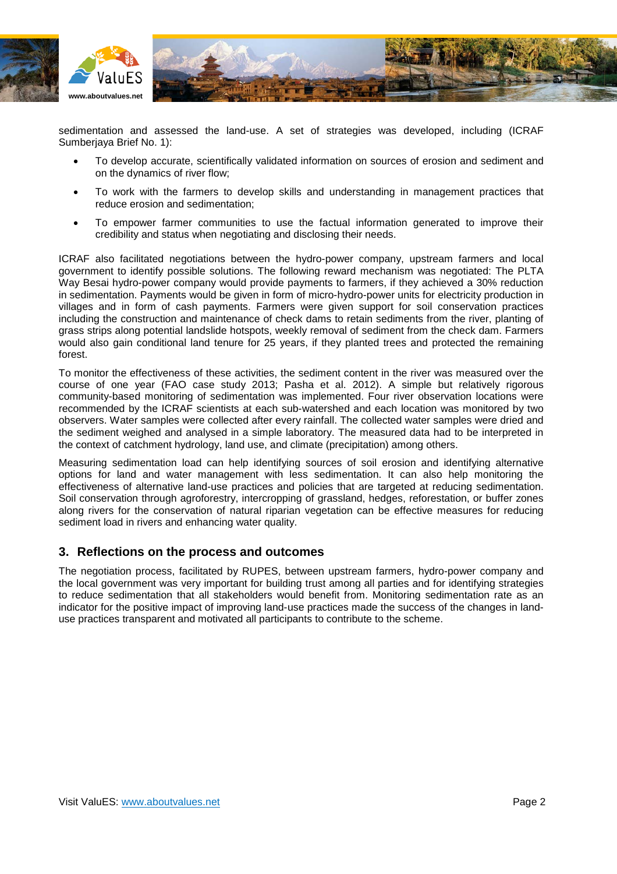

sedimentation and assessed the land-use. A set of strategies was developed, including (ICRAF Sumberjaya Brief No. 1):

- To develop accurate, scientifically validated information on sources of erosion and sediment and on the dynamics of river flow;
- To work with the farmers to develop skills and understanding in management practices that reduce erosion and sedimentation;
- To empower farmer communities to use the factual information generated to improve their credibility and status when negotiating and disclosing their needs.

ICRAF also facilitated negotiations between the hydro-power company, upstream farmers and local government to identify possible solutions. The following reward mechanism was negotiated: The PLTA Way Besai hydro-power company would provide payments to farmers, if they achieved a 30% reduction in sedimentation. Payments would be given in form of micro-hydro-power units for electricity production in villages and in form of cash payments. Farmers were given support for soil conservation practices including the construction and maintenance of check dams to retain sediments from the river, planting of grass strips along potential landslide hotspots, weekly removal of sediment from the check dam. Farmers would also gain conditional land tenure for 25 years, if they planted trees and protected the remaining forest.

To monitor the effectiveness of these activities, the sediment content in the river was measured over the course of one year (FAO case study 2013; Pasha et al. 2012). A simple but relatively rigorous community-based monitoring of sedimentation was implemented. Four river observation locations were recommended by the ICRAF scientists at each sub-watershed and each location was monitored by two observers. Water samples were collected after every rainfall. The collected water samples were dried and the sediment weighed and analysed in a simple laboratory. The measured data had to be interpreted in the context of catchment hydrology, land use, and climate (precipitation) among others.

Measuring sedimentation load can help identifying sources of soil erosion and identifying alternative options for land and water management with less sedimentation. It can also help monitoring the effectiveness of alternative land-use practices and policies that are targeted at reducing sedimentation. Soil conservation through agroforestry, intercropping of grassland, hedges, reforestation, or buffer zones along rivers for the conservation of natural riparian vegetation can be effective measures for reducing sediment load in rivers and enhancing water quality.

## **3. Reflections on the process and outcomes**

The negotiation process, facilitated by RUPES, between upstream farmers, hydro-power company and the local government was very important for building trust among all parties and for identifying strategies to reduce sedimentation that all stakeholders would benefit from. Monitoring sedimentation rate as an indicator for the positive impact of improving land-use practices made the success of the changes in landuse practices transparent and motivated all participants to contribute to the scheme.